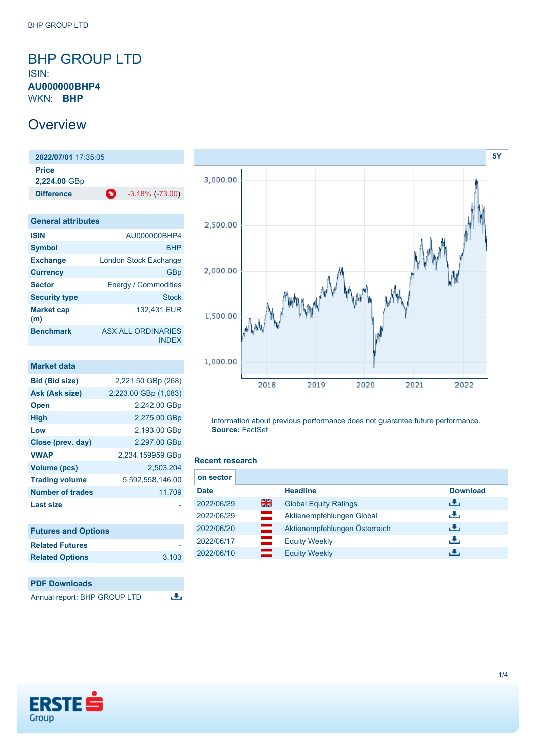## <span id="page-0-0"></span>BHP GROUP LTD ISIN:

**AU000000BHP4** WKN: **BHP**

# **Overview**

**2022/07/01** 17:35:05 **Price 2,224.00** GBp **Difference 1** -3.18% (-73.00)

| <b>General attributes</b> |                                    |
|---------------------------|------------------------------------|
| <b>ISIN</b>               | AU000000BHP4                       |
| <b>Symbol</b>             | <b>BHP</b>                         |
| <b>Exchange</b>           | <b>London Stock Exchange</b>       |
| <b>Currency</b>           | GBp                                |
| <b>Sector</b>             | <b>Energy / Commodities</b>        |
| <b>Security type</b>      | <b>Stock</b>                       |
| <b>Market cap</b><br>(m)  | 132,431 EUR                        |
| <b>Benchmark</b>          | <b>ASX ALL ORDINARIES</b><br>INDFX |

| Market data             |                      |
|-------------------------|----------------------|
| <b>Bid (Bid size)</b>   | 2,221.50 GBp (268)   |
| Ask (Ask size)          | 2,223.00 GBp (1,083) |
| <b>Open</b>             | 2,242.00 GBp         |
| <b>High</b>             | 2,275.00 GBp         |
| Low                     | 2,193.00 GBp         |
| Close (prev. day)       | 2,297.00 GBp         |
| <b>VWAP</b>             | 2,234.159959 GBp     |
| <b>Volume (pcs)</b>     | 2,503,204            |
| <b>Trading volume</b>   | 5,592,558,146.00     |
| <b>Number of trades</b> | 11,709               |
| <b>Last size</b>        |                      |
|                         |                      |

| <b>Futures and Options</b> |       |
|----------------------------|-------|
| <b>Related Futures</b>     |       |
| <b>Related Options</b>     | 3.103 |





Information about previous performance does not guarantee future performance. **Source:** FactSet

### **Recent research**

| on sector   |     |                               |                 |
|-------------|-----|-------------------------------|-----------------|
| <b>Date</b> |     | <b>Headline</b>               | <b>Download</b> |
| 2022/06/29  | 을중  | <b>Global Equity Ratings</b>  | رائی            |
| 2022/06/29  | $=$ | Aktienempfehlungen Global     | رنان            |
| 2022/06/20  | ▄   | Aktienempfehlungen Österreich | رنان            |
| 2022/06/17  | ▀   | <b>Equity Weekly</b>          | رنان            |
| 2022/06/10  | —   | <b>Equity Weekly</b>          | ٠₩,             |

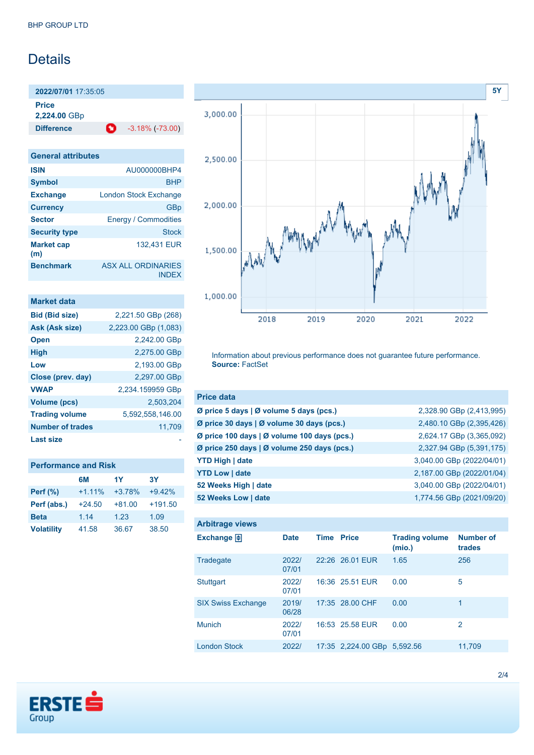# Details

**2022/07/01** 17:35:05 **Price**

**2,224.00** GBp

**Difference** -3.18% (-73.00)

INDEX

**General attributes ISIN** AU000000BHP4 **Symbol** BHP **Exchange** London Stock Exchange **Currency** GBp **Sector** Energy / Commodities **Security type** Stock **Market cap (m)** 132,431 EUR **Benchmark** ASX ALL ORDINARIES

| Market data             |                      |
|-------------------------|----------------------|
| <b>Bid (Bid size)</b>   | 2,221.50 GBp (268)   |
| Ask (Ask size)          | 2,223.00 GBp (1,083) |
| <b>Open</b>             | 2,242.00 GBp         |
| <b>High</b>             | 2,275.00 GBp         |
| Low                     | 2,193.00 GBp         |
| Close (prev. day)       | 2,297.00 GBp         |
| <b>VWAP</b>             | 2,234.159959 GBp     |
| <b>Volume (pcs)</b>     | 2.503,204            |
| <b>Trading volume</b>   | 5.592.558.146.00     |
| <b>Number of trades</b> | 11,709               |
| Last size               |                      |

| <b>Performance and Risk</b> |          |          |           |  |
|-----------------------------|----------|----------|-----------|--|
|                             | 6M       | 1Y       | 3Υ        |  |
| Perf (%)                    | $+1.11%$ | $+3.78%$ | $+9.42%$  |  |
| Perf (abs.)                 | $+24.50$ | $+81.00$ | $+191.50$ |  |
| <b>Beta</b>                 | 1.14     | 1.23     | 1.09      |  |
| <b>Volatility</b>           | 41.58    | 36.67    | 38.50     |  |



Information about previous performance does not guarantee future performance. **Source:** FactSet

| <b>Price data</b>                           |                           |
|---------------------------------------------|---------------------------|
| Ø price 5 days   Ø volume 5 days (pcs.)     | 2,328.90 GBp (2,413,995)  |
| Ø price 30 days   Ø volume 30 days (pcs.)   | 2,480.10 GBp (2,395,426)  |
| Ø price 100 days   Ø volume 100 days (pcs.) | 2,624.17 GBp (3,365,092)  |
| Ø price 250 days   Ø volume 250 days (pcs.) | 2,327.94 GBp (5,391,175)  |
| <b>YTD High   date</b>                      | 3,040.00 GBp (2022/04/01) |
| <b>YTD Low   date</b>                       | 2,187.00 GBp (2022/01/04) |
| 52 Weeks High   date                        | 3,040.00 GBp (2022/04/01) |
| 52 Weeks Low   date                         | 1,774.56 GBp (2021/09/20) |

| <b>Arbitrage views</b>    |                |                   |                             |                                 |                            |
|---------------------------|----------------|-------------------|-----------------------------|---------------------------------|----------------------------|
| Exchange $\Box$           | <b>Date</b>    | <b>Time Price</b> |                             | <b>Trading volume</b><br>(mio.) | <b>Number of</b><br>trades |
| Tradegate                 | 2022/<br>07/01 |                   | 22:26 26.01 EUR             | 1.65                            | 256                        |
| <b>Stuttgart</b>          | 2022/<br>07/01 |                   | 16:36 25.51 EUR             | 0.00                            | 5                          |
| <b>SIX Swiss Exchange</b> | 2019/<br>06/28 |                   | 17:35 28.00 CHF             | 0.00                            | 1                          |
| <b>Munich</b>             | 2022/<br>07/01 |                   | 16:53 25.58 EUR             | 0.00                            | 2                          |
| <b>London Stock</b>       | 2022/          |                   | 17:35 2,224.00 GBp 5,592.56 |                                 | 11.709                     |

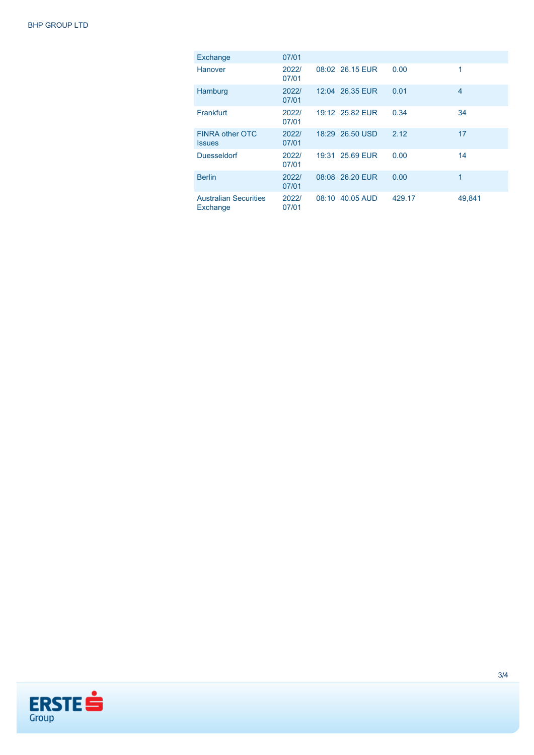| Exchange                                 | 07/01          |       |                 |        |                |
|------------------------------------------|----------------|-------|-----------------|--------|----------------|
| <b>Hanover</b>                           | 2022/<br>07/01 |       | 08:02 26.15 EUR | 0.00   | 1              |
| Hamburg                                  | 2022/<br>07/01 |       | 12:04 26.35 EUR | 0.01   | $\overline{4}$ |
| Frankfurt                                | 2022/<br>07/01 |       | 19:12 25.82 EUR | 0.34   | 34             |
| <b>FINRA other OTC</b><br><b>Issues</b>  | 2022/<br>07/01 |       | 18:29 26.50 USD | 2.12   | 17             |
| <b>Duesseldorf</b>                       | 2022/<br>07/01 |       | 19:31 25.69 EUR | 0.00   | 14             |
| <b>Berlin</b>                            | 2022/<br>07/01 |       | 08:08 26.20 EUR | 0.00   | 1              |
| <b>Australian Securities</b><br>Exchange | 2022/<br>07/01 | 08:10 | 40.05 AUD       | 429.17 | 49,841         |